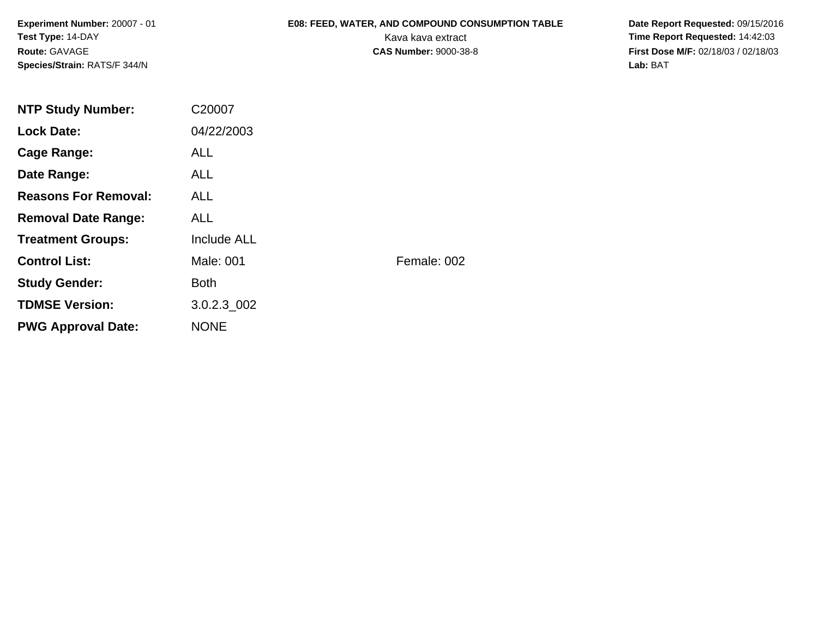## **E08: FEED, WATER, AND COMPOUND CONSUMPTION TABLE**

 **Date Report Requested:** 09/15/2016 Kava kava extract **Time Report Requested:** 14:42:03 **First Dose M/F:** 02/18/03 / 02/18/03 Lab: BAT **Lab:** BAT

| <b>NTP Study Number:</b>    | C20007      |             |
|-----------------------------|-------------|-------------|
| <b>Lock Date:</b>           | 04/22/2003  |             |
| Cage Range:                 | <b>ALL</b>  |             |
| Date Range:                 | ALL.        |             |
| <b>Reasons For Removal:</b> | ALL.        |             |
| <b>Removal Date Range:</b>  | ALL.        |             |
| <b>Treatment Groups:</b>    | Include ALL |             |
| <b>Control List:</b>        | Male: 001   | Female: 002 |
| <b>Study Gender:</b>        | <b>Both</b> |             |
| <b>TDMSE Version:</b>       | 3.0.2.3 002 |             |
| <b>PWG Approval Date:</b>   | <b>NONE</b> |             |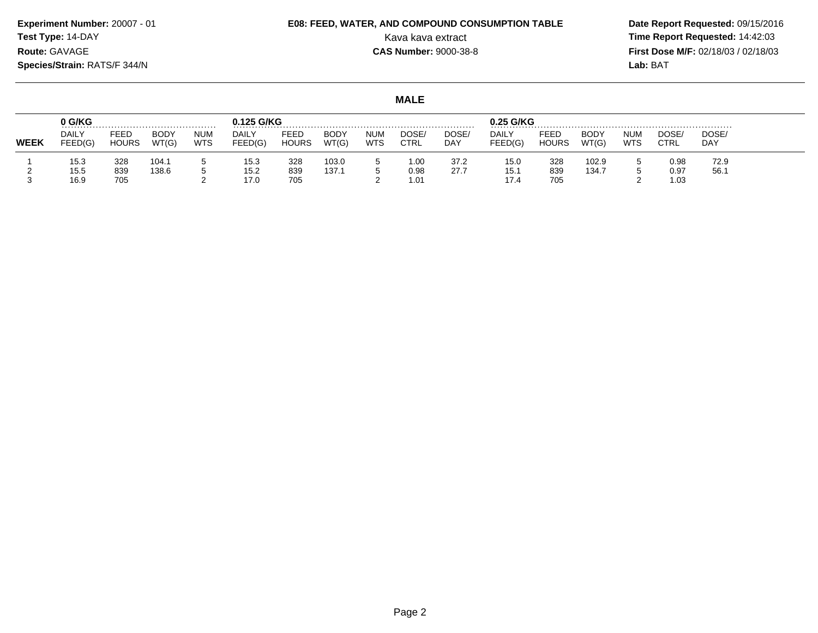**Experiment Number:** 20007 - 01**Test Type:** 14-DAY

## **E08: FEED, WATER, AND COMPOUND CONSUMPTION TABLE**

 **Date Report Requested:** 09/15/2016 Kava kava extract **Time Report Requested:** 14:42:03 **First Dose M/F:** 02/18/03 / 02/18/03 Lab: BAT **Lab:** BAT

**MALE**

|             | 0 G/KG                  |                      |                      |                          | 0.125 G/KG<br>.  |                      |                      |                   |               |              | 0.25 G/KG               |                             |                      |                          |               |              |
|-------------|-------------------------|----------------------|----------------------|--------------------------|------------------|----------------------|----------------------|-------------------|---------------|--------------|-------------------------|-----------------------------|----------------------|--------------------------|---------------|--------------|
| <b>WEEK</b> | <b>DAILY</b><br>FEED(G) | FEED<br><b>HOURS</b> | <b>BODY</b><br>WT(G) | <b>NUM</b><br><b>WTS</b> | DAILY<br>FEED(G) | FEED<br><b>HOURS</b> | <b>BODY</b><br>WT(G) | NUM<br><b>WTS</b> | DOSE.<br>CTRL | DOSE/<br>DAY | <b>DAILY</b><br>FEED(G) | <b>FEEL</b><br><b>HOURS</b> | <b>BODY</b><br>WT(G) | <b>NUM</b><br><b>WTS</b> | DOSE,<br>CTRL | DOSE/<br>DAY |
|             | 15.3<br>15.5            | 328<br>839           | 104.1<br>138.6       |                          | 15.3<br>15.2     | 328<br>839           | 103.0<br>137.1       |                   | 1.00<br>0.98  | 37.2<br>27.7 | 15.0<br>15.1            | 328<br>839                  | 102.9<br>134.7       |                          | 0.98<br>0.97  | 72.9<br>56.  |
|             | 16.9                    | 705                  |                      |                          | 17.0             | 705                  |                      |                   | 1.01          |              | م. ا.                   | 705                         |                      |                          | 1.03          |              |

# **Route:** GAVAGE

**Species/Strain:** RATS/F 344/N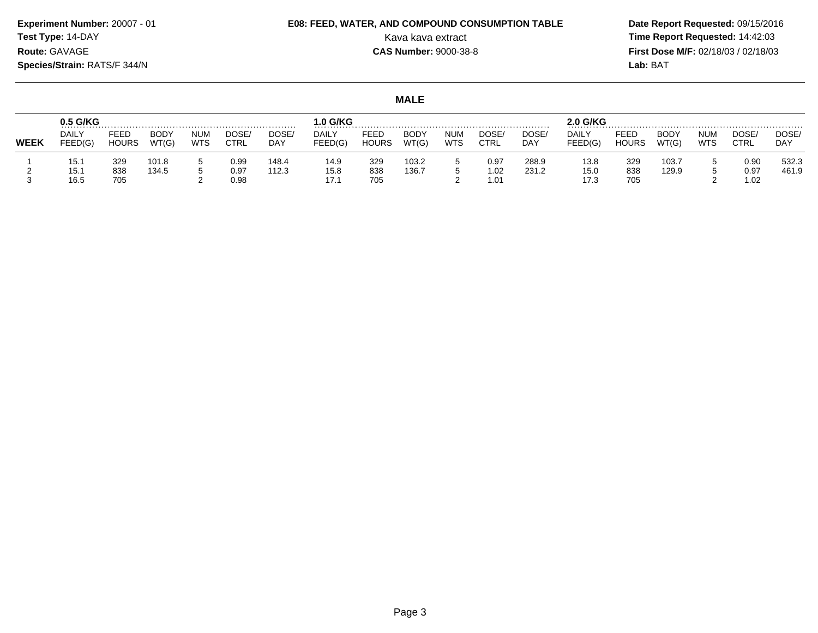## **E08: FEED, WATER, AND COMPOUND CONSUMPTION TABLE**

 **Date Report Requested:** 09/15/2016 Kava kava extract **Time Report Requested:** 14:42:03 **First Dose M/F:** 02/18/03 / 02/18/03 Lab: BAT **Lab:** BAT

#### **MALE**

|             | 0.5 G/KG                |                      |                      |                   |                      |                     | $.0$ G/KG               |                      |                      |                          |                      |                | 2.0 G/KG             |                      |                |                   |                      |                    |
|-------------|-------------------------|----------------------|----------------------|-------------------|----------------------|---------------------|-------------------------|----------------------|----------------------|--------------------------|----------------------|----------------|----------------------|----------------------|----------------|-------------------|----------------------|--------------------|
| <b>WEEK</b> | <b>DAILY</b><br>FEED(G) | FEED<br><b>HOURS</b> | <b>BODY</b><br>WT(G) | NUM<br><b>WTS</b> | DOSE/<br>CTRL        | DOSE/<br><b>DAY</b> | <b>DAILY</b><br>FEED(G) | FEED<br><b>HOURS</b> | <b>BODY</b><br>WT(G) | <b>NUM</b><br><b>WTS</b> | DOSE/<br>CTRL        | DOSE/<br>DAY   | DAILY<br>FEED(G)     | FEED<br><b>HOURS</b> | BODY<br>WT(G)  | num<br><b>WTS</b> | DOSE<br><b>CTRL</b>  | DOSE<br><b>DAY</b> |
|             | 15.1<br>15.1<br>16.5    | 329<br>838<br>705    | 101.8<br>134.5       |                   | 0.99<br>0.97<br>0.98 | 148.4<br>112.3      | 14.9<br>15.8<br>17.1    | 329<br>838<br>705    | 103.2<br>136.7       |                          | 0.97<br>1.02<br>1.01 | 288.9<br>231.2 | 13.8<br>15.0<br>17.3 | 329<br>838<br>705    | 103.7<br>129.9 |                   | 0.90<br>0.97<br>1.02 | 532.3<br>461.9     |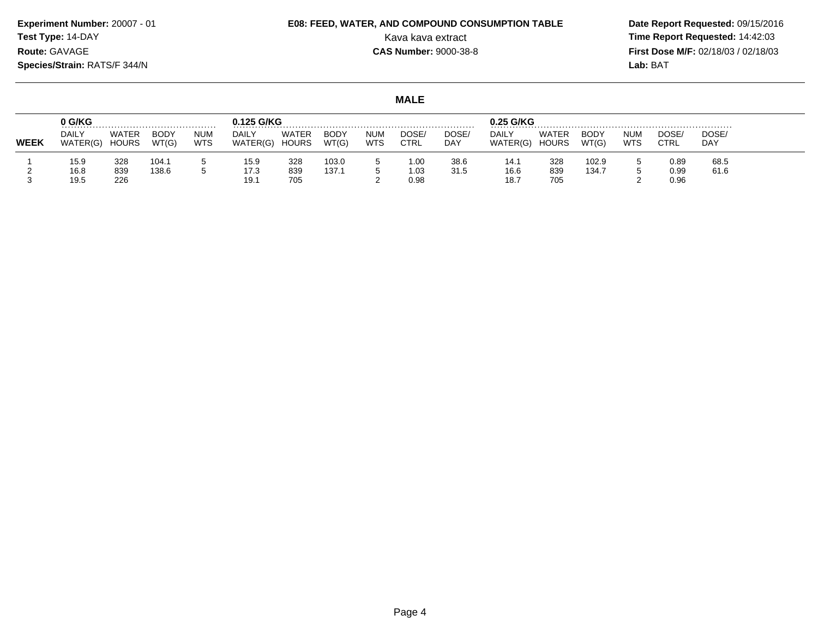**Test Type:** 14-DAY

## **E08: FEED, WATER, AND COMPOUND CONSUMPTION TABLE**

 **Date Report Requested:** 09/15/2016 Kava kava extract **Time Report Requested:** 14:42:03 **First Dose M/F:** 02/18/03 / 02/18/03 Lab: BAT **Lab:** BAT

**MALE**

|             | 0 G/KG                   |                       |                      |                          | 0.125 G/KG        |                              |               |                   |                      |              | 0.25 G/KG                |                       |               |                          |               |                    |
|-------------|--------------------------|-----------------------|----------------------|--------------------------|-------------------|------------------------------|---------------|-------------------|----------------------|--------------|--------------------------|-----------------------|---------------|--------------------------|---------------|--------------------|
| <b>WEEK</b> | <b>DAILY</b><br>WATER(G) | <b>WATER</b><br>HOURS | <b>BODY</b><br>WT(G) | <b>NUM</b><br><b>WTS</b> | DAILY<br>WATER(G) | <b>WATER</b><br><b>HOURS</b> | BODY<br>WT(G) | NUM<br><b>WTS</b> | DOSE.<br><b>CTRL</b> | DOSE/<br>DAY | <b>DAILY</b><br>WATER(G) | WATEF<br><b>HOURS</b> | BODY<br>WT(G) | <b>NUM</b><br><b>WTS</b> | DOSE.<br>CTRL | DOSE<br><b>DAY</b> |
|             | 15.9                     | 328                   | 104.1                |                          | 15.9              | 328                          | 103.0         |                   | 1.00                 | 38.6         | 14.1                     | 328                   | 102.9         |                          | 0.89          | 68.5               |
|             | 16.8<br>19.5             | 839<br>226            | 138.6                |                          | 17.3<br>19.1      | 839<br>705                   | 137.1         |                   | 1.03<br>0.98         | 31.5         | 16.6<br>18.7             | 839<br>705            | 134.7         |                          | 0.99<br>0.96  | 61.6               |

**Experiment Number:** 20007 - 01**Route:** GAVAGE

**Species/Strain:** RATS/F 344/N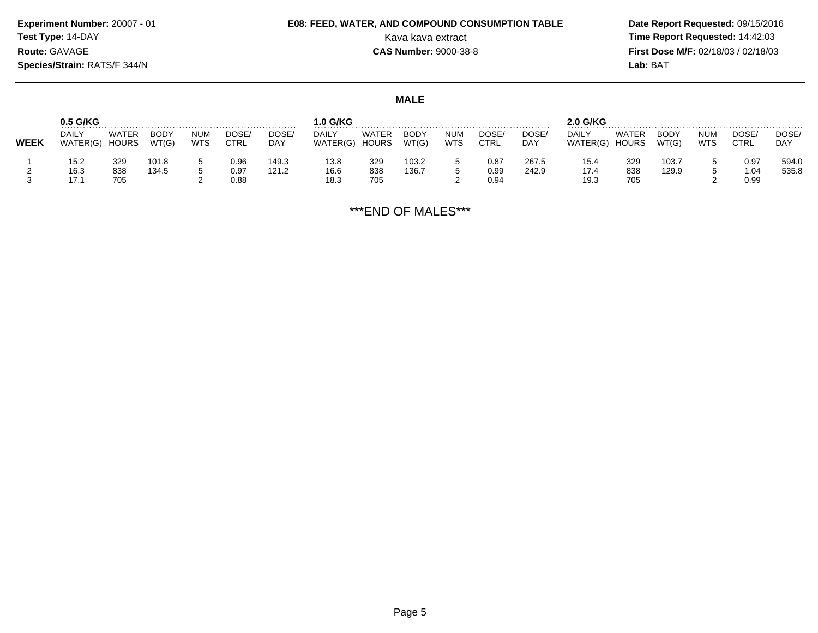## **E08: FEED, WATER, AND COMPOUND CONSUMPTION TABLE**

 **Date Report Requested:** 09/15/2016 Kava kava extract **Time Report Requested:** 14:42:03 **First Dose M/F:** 02/18/03 / 02/18/03<br>Lab: BAT **Lab:** BAT

#### **MALE**

|             | 0.5 G/KG                 |                       |                      |                   |               |                     | $.0$ G/KG                |                       |                      |                   |                      | .              | .o G/KG           |                       |               |            |               |                    |
|-------------|--------------------------|-----------------------|----------------------|-------------------|---------------|---------------------|--------------------------|-----------------------|----------------------|-------------------|----------------------|----------------|-------------------|-----------------------|---------------|------------|---------------|--------------------|
| <b>WEEK</b> | <b>DAILY</b><br>WATER(G) | WATER<br><b>HOURS</b> | <b>BODY</b><br>WT(G) | NUM<br><b>WTS</b> | DOSE/<br>CTRL | DOSE/<br><b>DAY</b> | <b>DAILY</b><br>WATER(G) | WATER<br><b>HOURS</b> | <b>BODY</b><br>WT(G) | <b>NUM</b><br>WTS | DOSE/<br><b>CTRL</b> | DOSE/<br>DAY   | DAILY<br>WATER(G) | WATER<br><b>HOURS</b> | BODY<br>WT(G) | num<br>WTS | DOSE.<br>CTRL | DOSE<br><b>DAY</b> |
|             | 15.2<br>16.3             | 329<br>838            | 101.8<br>134.5       |                   | 0.96<br>ა.97  | 149.3<br>121.2      | 13.8<br>16.6             | 329<br>838            | 103.2<br>136.7       |                   | 0.87<br>0.99         | 267.5<br>242.9 | 15.4<br>17.4      | 329<br>838            | 103.<br>129.9 |            | 0.97<br>1.04  | 594.0<br>535.8     |
|             | ı <i>ı</i> .             | 705                   |                      |                   | 0.88          |                     | 18.3                     | 705                   |                      |                   | 0.94                 |                | 19.3              | 705                   |               |            | 0.99          |                    |

\*\*\*END OF MALES\*\*\*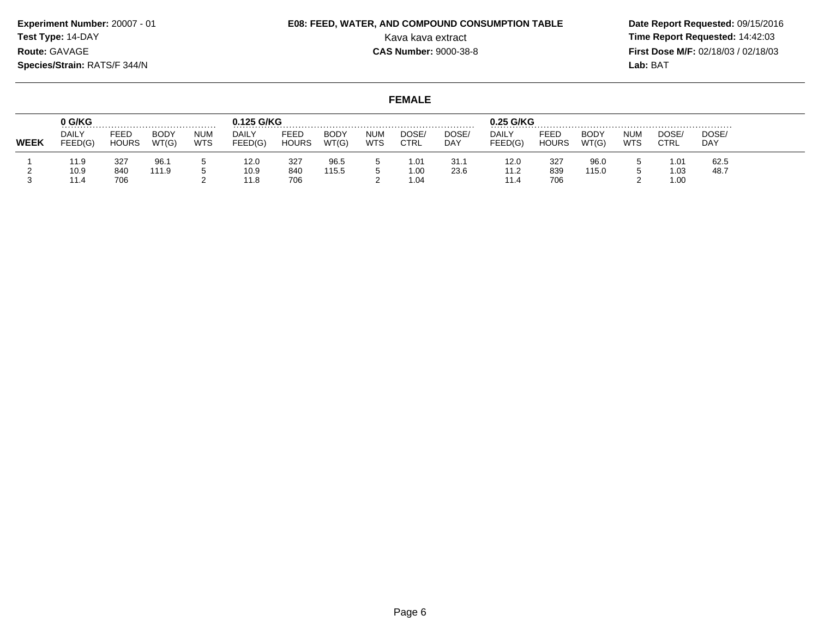**Experiment Number:** 20007 - 01**Test Type:** 14-DAY**Route:** GAVAGE

#### **Species/Strain:** RATS/F 344/N

**E08: FEED, WATER, AND COMPOUND CONSUMPTION TABLE**

 **Date Report Requested:** 09/15/2016 Kava kava extract **Time Report Requested:** 14:42:03 **First Dose M/F:** 02/18/03 / 02/18/03 Lab: BAT

|             | 0 G/KG           |                      |               |                          | 0.125 G/KG              |                      |                      |                          |               |              | 0.25 G/KG               |                             |               |                          |               |                     |
|-------------|------------------|----------------------|---------------|--------------------------|-------------------------|----------------------|----------------------|--------------------------|---------------|--------------|-------------------------|-----------------------------|---------------|--------------------------|---------------|---------------------|
| <b>WEEK</b> | DAILY<br>FEED(G) | FEED<br><b>HOURS</b> | BODY<br>WT(G) | <b>NUM</b><br><b>WTS</b> | <b>DAILY</b><br>FEED(G) | FEED<br><b>HOURS</b> | <b>BODY</b><br>WT(G) | <b>NUM</b><br><b>WTS</b> | DOSE/<br>CTRL | DOSE/<br>DAY | <b>DAILY</b><br>FEED(G) | <b>FEED</b><br><b>HOURS</b> | BODY<br>WT(G) | <b>NUM</b><br><b>WTS</b> | DOSE/<br>CTRL | DOSE/<br><b>DAY</b> |
|             | 11.9             | 327                  | 96.1          |                          | 12.0                    | 327                  | 96.5                 |                          | 1.01          | 31.1         | 12.0                    | 327                         | 96.0          |                          | 1.01          | 62.5                |
|             | 10.9<br>11.4     | 840<br>706           | 111.9         |                          | 10.9<br>11.8            | 840<br>706           | 115.5                |                          | 1.00<br>1.04  | 23.6         | 11.2<br>11.4            | 839<br>706                  | 115.0         |                          | 1.03<br>1.00  | 48.7                |

| <b>Species/Strain: RATS/F 344/N</b> |      |             |            |            |      |             |            |               |       |              |      |             |            | Lab: BAT  |
|-------------------------------------|------|-------------|------------|------------|------|-------------|------------|---------------|-------|--------------|------|-------------|------------|-----------|
|                                     |      |             |            |            |      |             |            | <b>FEMALE</b> |       |              |      |             |            |           |
| 0 G/KG                              |      |             |            | 0.125 G/KG |      |             |            |               |       | 0.25 G/KG    |      |             |            |           |
| <b>DAILY</b>                        | FEED | <b>BODY</b> | <b>NUM</b> | DAILY      | FEED | <b>BODY</b> | <b>NUM</b> | DOSE/         | DOSE. | <b>DAILY</b> | FEED | <b>BODY</b> | <b>NUM</b> | <b>DC</b> |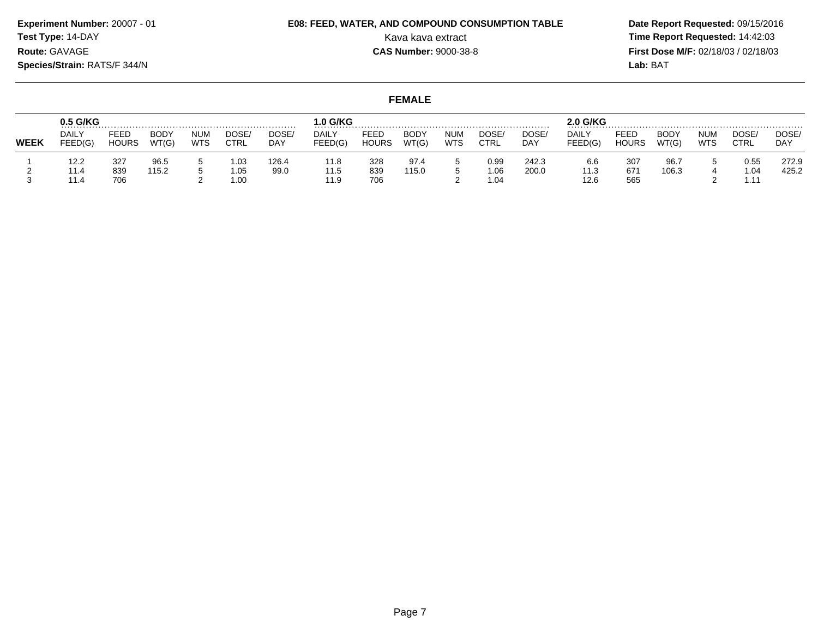## **E08: FEED, WATER, AND COMPOUND CONSUMPTION TABLE**

 **Date Report Requested:** 09/15/2016 Kava kava extract **Time Report Requested:** 14:42:03 **First Dose M/F:** 02/18/03 / 02/18/03 Lab: BAT **Lab:** BAT

**FEMALE**

|             | $0.5$ G/KG              |                      |                      |                   |                       |               | .0 G/KG              |                      |               |                          |                      |                | 2.0 G/KG            |                      |                      |                          |                            |                |
|-------------|-------------------------|----------------------|----------------------|-------------------|-----------------------|---------------|----------------------|----------------------|---------------|--------------------------|----------------------|----------------|---------------------|----------------------|----------------------|--------------------------|----------------------------|----------------|
| <b>WEEK</b> | <b>DAILY</b><br>FEED(G) | FEED<br><b>HOURS</b> | <b>BODY</b><br>WT(G) | <b>NUM</b><br>WTS | DOSE/<br>CTRL         | DOSE/<br>DAY  | DAILY<br>FEED(G)     | FEED<br><b>HOURS</b> | BODY<br>WT(G) | <b>NUM</b><br><b>WTS</b> | DOSE/<br>CTRL        | DOSE/<br>DAY   | DAIL'<br>FEED(G)    | FEED<br><b>HOURS</b> | <b>BODY</b><br>WT(G) | <b>NUM</b><br><b>WTS</b> | <b>DOSE</b><br><b>CTRL</b> | DOSE<br>DAY    |
|             | 12.2<br>11.4<br>11.4    | 327<br>839<br>706    | 96.5<br>115.2        |                   | 1.03<br>05. ا<br>1.00 | 126.4<br>99.0 | 11.8<br>11.5<br>11.9 | 328<br>839<br>706    | 97.4<br>115.0 |                          | 0.99<br>1.06<br>1.04 | 242.3<br>200.0 | 6.6<br>11.3<br>12.6 | 307<br>671<br>565    | 96.7<br>106.3        |                          | 0.55<br>1.04<br>1.11       | 272.9<br>425.2 |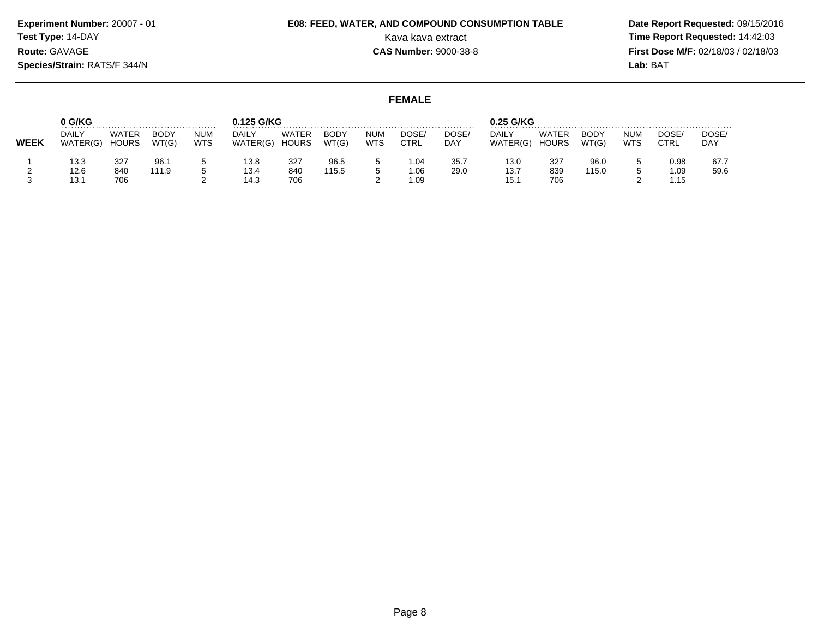**Experiment Number:** 20007 - 01**Test Type:** 14-DAY**Route:** GAVAGE

## **E08: FEED, WATER, AND COMPOUND CONSUMPTION TABLE**

 **Date Report Requested:** 09/15/2016 Kava kava extract **Time Report Requested:** 14:42:03 **First Dose M/F:** 02/18/03 / 02/18/03 Lab: BAT **Lab:** BAT

**Species/Strain:** RATS/F 344/N

### **FEMALE**

|             | 0 G/KG                   |                              |                      |                          | 0.125 G/KG<br>.   |                       |                      |                          |               |              | 0.25 G/KG                |                              |                      |                          |               |             |
|-------------|--------------------------|------------------------------|----------------------|--------------------------|-------------------|-----------------------|----------------------|--------------------------|---------------|--------------|--------------------------|------------------------------|----------------------|--------------------------|---------------|-------------|
| <b>WEEK</b> | <b>DAILY</b><br>WATER(G) | <b>WATER</b><br><b>HOURS</b> | <b>BODY</b><br>WT(G) | <b>NUM</b><br><b>WTS</b> | DAILY<br>WATER(G) | WATER<br><b>HOURS</b> | <b>BODY</b><br>WT(G) | <b>NUM</b><br><b>WTS</b> | DOSE/<br>CTRL | DOSE/<br>DAY | <b>DAILY</b><br>WATER(G) | <b>WATER</b><br><b>HOURS</b> | <b>BODY</b><br>WT(G) | <b>NUM</b><br><b>WTS</b> | DOSE.<br>CTRL | DOSE<br>DAY |
|             | 13.3                     | 327                          | 96.1                 |                          | 13.8              | 327                   | 96.5                 |                          | 1.04          | 35.7         | 13.0                     | 327                          | 96.0                 |                          | 0.98          | 67.7        |
|             | 12.6<br>13.1             | 840<br>706                   | 111.9                |                          | 13.4<br>14.3      | 840<br>706            | 115.5                |                          | 0.06<br>1.09  | 29.0         | 13.7<br>15.7             | 839<br>706                   | 115.0                |                          | 1.09<br>1.15  | 59.6        |